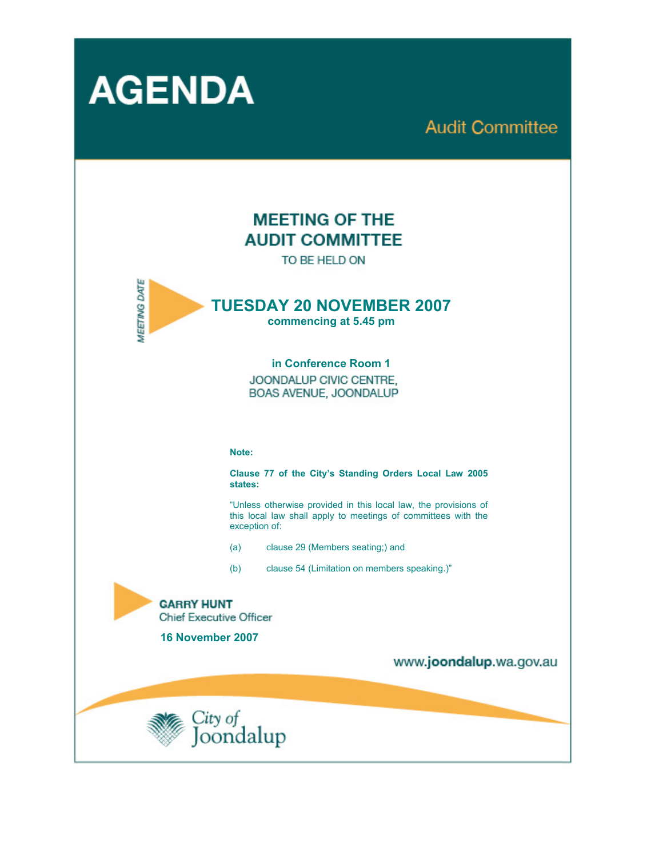

**Audit Committee** 

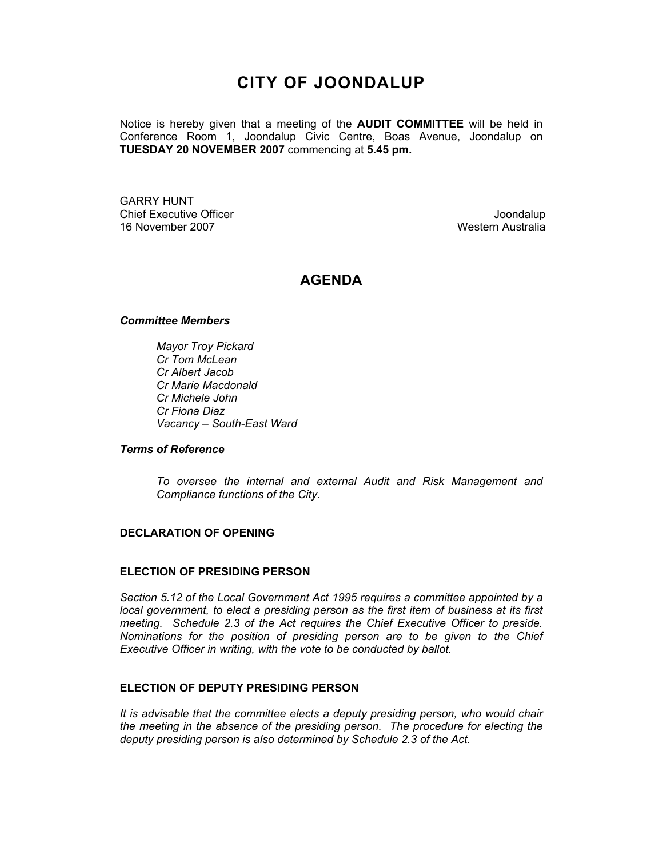# **CITY OF JOONDALUP**

Notice is hereby given that a meeting of the **AUDIT COMMITTEE** will be held in Conference Room 1, Joondalup Civic Centre, Boas Avenue, Joondalup on **TUESDAY 20 NOVEMBER 2007** commencing at **5.45 pm.** 

GARRY HUNT Chief Executive Officer **Chief Executive Officer** Joondalup 16 November 2007 Western Australia

# **AGENDA**

#### *Committee Members*

*Mayor Troy Pickard Cr Tom McLean Cr Albert Jacob Cr Marie Macdonald Cr Michele John Cr Fiona Diaz Vacancy – South-East Ward* 

#### *Terms of Reference*

*To oversee the internal and external Audit and Risk Management and Compliance functions of the City.* 

#### **DECLARATION OF OPENING**

#### **ELECTION OF PRESIDING PERSON**

*Section 5.12 of the Local Government Act 1995 requires a committee appointed by a local government, to elect a presiding person as the first item of business at its first meeting. Schedule 2.3 of the Act requires the Chief Executive Officer to preside. Nominations for the position of presiding person are to be given to the Chief Executive Officer in writing, with the vote to be conducted by ballot.* 

#### **ELECTION OF DEPUTY PRESIDING PERSON**

*It is advisable that the committee elects a deputy presiding person, who would chair the meeting in the absence of the presiding person. The procedure for electing the deputy presiding person is also determined by Schedule 2.3 of the Act.*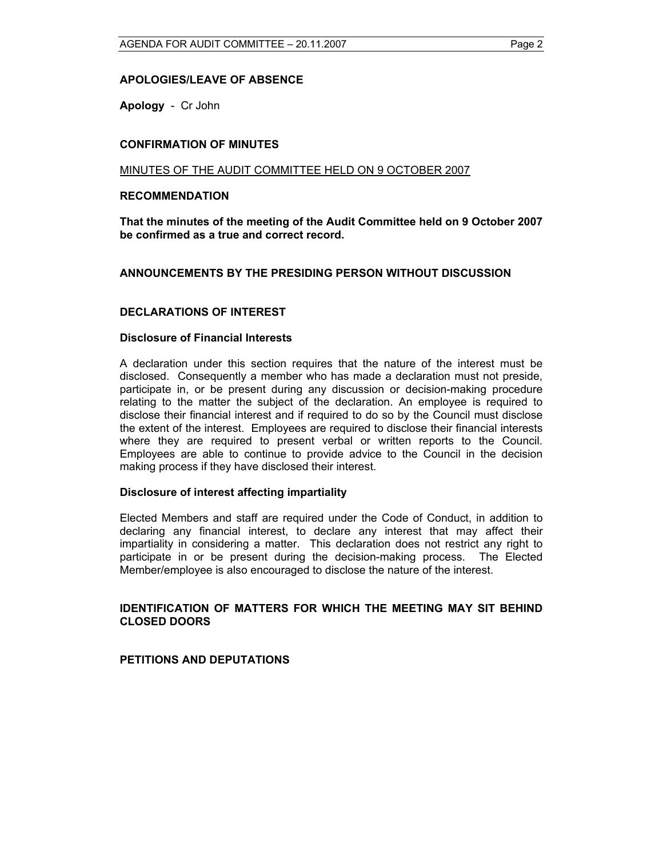## **APOLOGIES/LEAVE OF ABSENCE**

**Apology** - Cr John

#### **CONFIRMATION OF MINUTES**

#### MINUTES OF THE AUDIT COMMITTEE HELD ON 9 OCTOBER 2007

#### **RECOMMENDATION**

**That the minutes of the meeting of the Audit Committee held on 9 October 2007 be confirmed as a true and correct record.** 

#### **ANNOUNCEMENTS BY THE PRESIDING PERSON WITHOUT DISCUSSION**

#### **DECLARATIONS OF INTEREST**

#### **Disclosure of Financial Interests**

A declaration under this section requires that the nature of the interest must be disclosed. Consequently a member who has made a declaration must not preside, participate in, or be present during any discussion or decision-making procedure relating to the matter the subject of the declaration. An employee is required to disclose their financial interest and if required to do so by the Council must disclose the extent of the interest. Employees are required to disclose their financial interests where they are required to present verbal or written reports to the Council. Employees are able to continue to provide advice to the Council in the decision making process if they have disclosed their interest.

#### **Disclosure of interest affecting impartiality**

Elected Members and staff are required under the Code of Conduct, in addition to declaring any financial interest, to declare any interest that may affect their impartiality in considering a matter. This declaration does not restrict any right to participate in or be present during the decision-making process. The Elected Member/employee is also encouraged to disclose the nature of the interest.

#### **IDENTIFICATION OF MATTERS FOR WHICH THE MEETING MAY SIT BEHIND CLOSED DOORS**

#### **PETITIONS AND DEPUTATIONS**